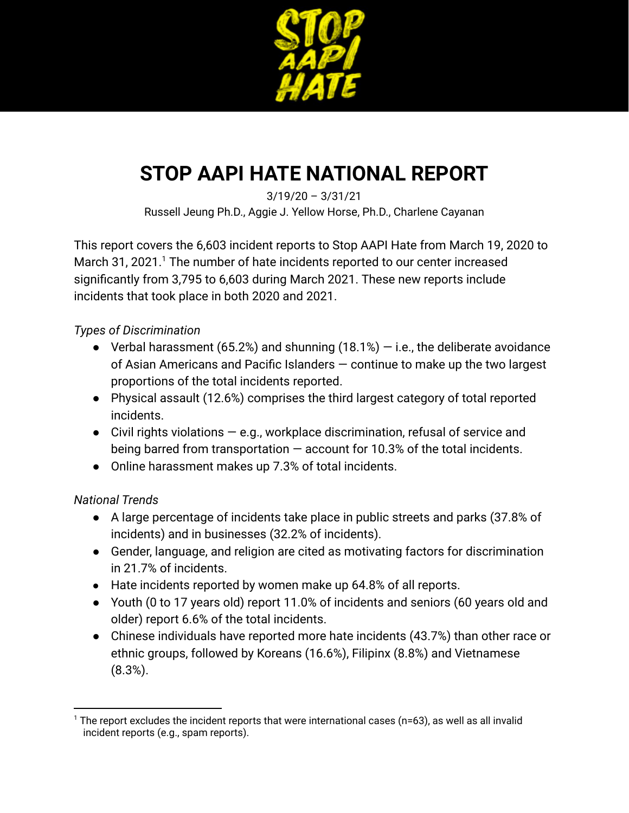

# **STOP AAPI HATE NATIONAL REPORT**

3/19/20 – 3/31/21 Russell Jeung Ph.D., Aggie J. Yellow Horse, Ph.D., Charlene Cayanan

This report covers the 6,603 incident reports to Stop AAPI Hate from March 19, 2020 to March 31, 2021.<sup>1</sup> The number of hate incidents reported to our center increased significantly from 3,795 to 6,603 during March 2021. These new reports include incidents that took place in both 2020 and 2021.

### *Types of Discrimination*

- Verbal harassment (65.2%) and shunning (18.1%)  $-$  i.e., the deliberate avoidance of Asian Americans and Pacific Islanders — continue to make up the two largest proportions of the total incidents reported.
- Physical assault (12.6%) comprises the third largest category of total reported incidents.
- $\bullet$  Civil rights violations  $-$  e.g., workplace discrimination, refusal of service and being barred from transportation  $-$  account for 10.3% of the total incidents.
- Online harassment makes up 7.3% of total incidents.

### *National Trends*

- A large percentage of incidents take place in public streets and parks (37.8% of incidents) and in businesses (32.2% of incidents).
- Gender, language, and religion are cited as motivating factors for discrimination in 21.7% of incidents.
- Hate incidents reported by women make up 64.8% of all reports.
- Youth (0 to 17 years old) report 11.0% of incidents and seniors (60 years old and older) report 6.6% of the total incidents.
- Chinese individuals have reported more hate incidents (43.7%) than other race or ethnic groups, followed by Koreans (16.6%), Filipinx (8.8%) and Vietnamese (8.3%).

 $1$  The report excludes the incident reports that were international cases ( $n=63$ ), as well as all invalid incident reports (e.g., spam reports).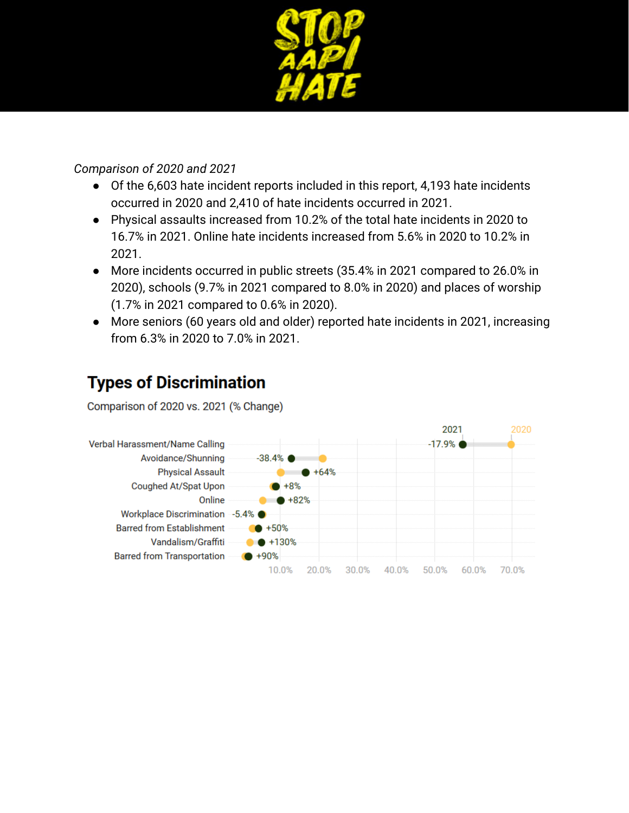

### *Comparison of 2020 and 2021*

- Of the 6,603 hate incident reports included in this report, 4,193 hate incidents occurred in 2020 and 2,410 of hate incidents occurred in 2021.
- Physical assaults increased from 10.2% of the total hate incidents in 2020 to 16.7% in 2021. Online hate incidents increased from 5.6% in 2020 to 10.2% in 2021.
- More incidents occurred in public streets (35.4% in 2021 compared to 26.0% in 2020), schools (9.7% in 2021 compared to 8.0% in 2020) and places of worship (1.7% in 2021 compared to 0.6% in 2020).
- More seniors (60 years old and older) reported hate incidents in 2021, increasing from 6.3% in 2020 to 7.0% in 2021.

### **Types of Discrimination**

Comparison of 2020 vs. 2021 (% Change)

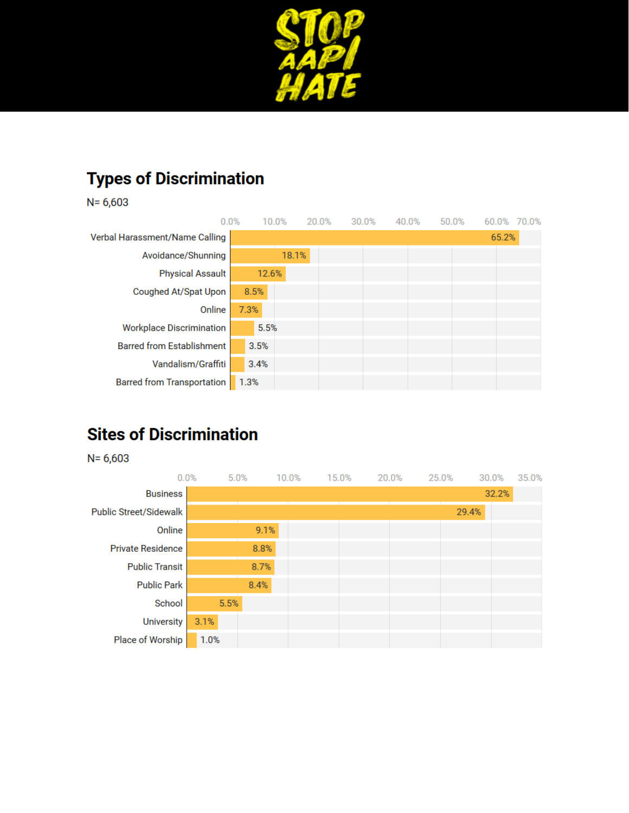

# **Types of Discrimination**

 $N = 6,603$ 

| 0.0%                                  |       | 10.0% | 20.0% | 30.0% | 40.0% | 50.0% | 60.0% 70.0% |  |
|---------------------------------------|-------|-------|-------|-------|-------|-------|-------------|--|
| <b>Verbal Harassment/Name Calling</b> |       |       |       |       |       |       | 65.2%       |  |
| Avoidance/Shunning                    |       | 18.1% |       |       |       |       |             |  |
| <b>Physical Assault</b>               | 12.6% |       |       |       |       |       |             |  |
| Coughed At/Spat Upon                  | 8.5%  |       |       |       |       |       |             |  |
| Online                                | 7.3%  |       |       |       |       |       |             |  |
| <b>Workplace Discrimination</b>       | 5.5%  |       |       |       |       |       |             |  |
| <b>Barred from Establishment</b>      | 3.5%  |       |       |       |       |       |             |  |
| Vandalism/Graffiti                    | 3.4%  |       |       |       |       |       |             |  |
| <b>Barred from Transportation</b>     | 1.3%  |       |       |       |       |       |             |  |

## **Sites of Discrimination**

 $N = 6,603$ 

| 0.0%                          | 5.0% |      | 10.0% | 15.0% | 25.0%<br>20.0% |       | 35.0%<br>30.0% |
|-------------------------------|------|------|-------|-------|----------------|-------|----------------|
| <b>Business</b>               |      |      |       |       |                |       | 32.2%          |
| <b>Public Street/Sidewalk</b> |      |      |       |       |                | 29.4% |                |
| Online                        |      | 9.1% |       |       |                |       |                |
| <b>Private Residence</b>      |      | 8.8% |       |       |                |       |                |
| <b>Public Transit</b>         |      | 8.7% |       |       |                |       |                |
| <b>Public Park</b>            |      | 8.4% |       |       |                |       |                |
| School                        | 5.5% |      |       |       |                |       |                |
| <b>University</b>             | 3.1% |      |       |       |                |       |                |
| Place of Worship              | 1.0% |      |       |       |                |       |                |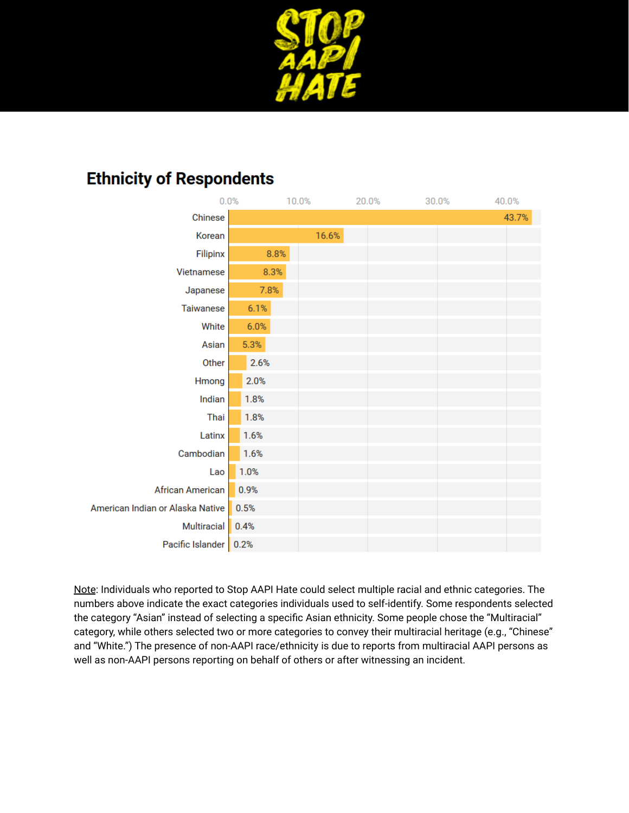

### **Ethnicity of Respondents**

| 0.0%                             |      | 10.0% | 20.0% | 30.0% | 40.0% |
|----------------------------------|------|-------|-------|-------|-------|
| Chinese                          |      |       |       |       | 43.7% |
| Korean                           |      | 16.6% |       |       |       |
| Filipinx                         | 8.8% |       |       |       |       |
| Vietnamese                       | 8.3% |       |       |       |       |
| Japanese                         | 7.8% |       |       |       |       |
| Taiwanese                        | 6.1% |       |       |       |       |
| White                            | 6.0% |       |       |       |       |
| Asian                            | 5.3% |       |       |       |       |
| Other                            | 2.6% |       |       |       |       |
| Hmong                            | 2.0% |       |       |       |       |
| Indian                           | 1.8% |       |       |       |       |
| Thai                             | 1.8% |       |       |       |       |
| Latinx                           | 1.6% |       |       |       |       |
| Cambodian                        | 1.6% |       |       |       |       |
| Lao                              | 1.0% |       |       |       |       |
| <b>African American</b>          | 0.9% |       |       |       |       |
| American Indian or Alaska Native | 0.5% |       |       |       |       |
| Multiracial                      | 0.4% |       |       |       |       |
| Pacific Islander 0.2%            |      |       |       |       |       |

Note: Individuals who reported to Stop AAPI Hate could select multiple racial and ethnic categories. The numbers above indicate the exact categories individuals used to self-identify. Some respondents selected the category "Asian" instead of selecting a specific Asian ethnicity. Some people chose the "Multiracial" category, while others selected two or more categories to convey their multiracial heritage (e.g., "Chinese" and "White.") The presence of non-AAPI race/ethnicity is due to reports from multiracial AAPI persons as well as non-AAPI persons reporting on behalf of others or after witnessing an incident.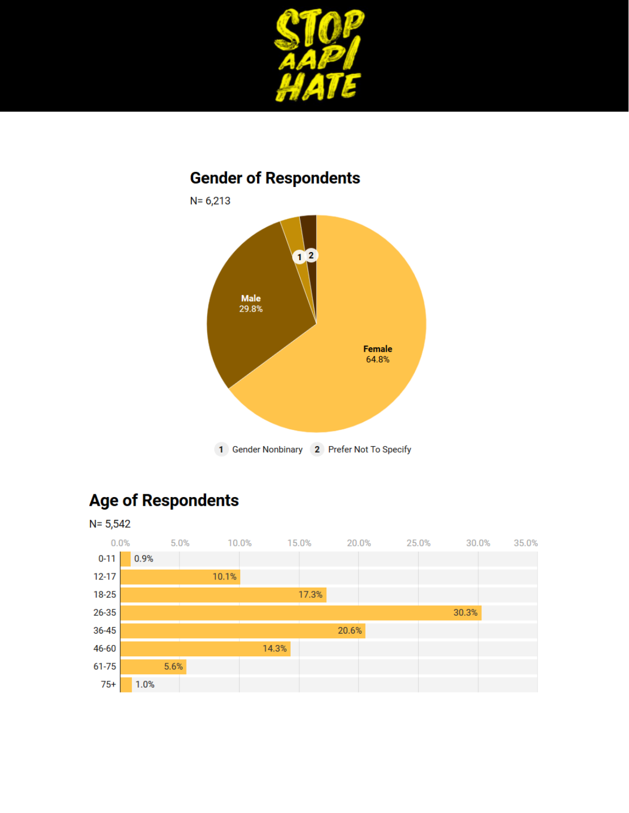

### **Gender of Respondents**



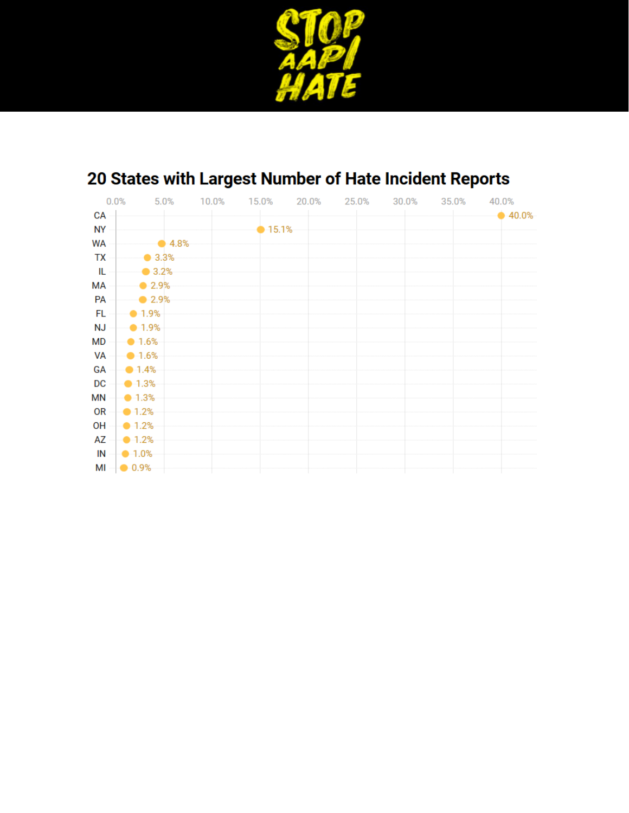

| 0.0%      |                                | 5.0%           | 10.0% | 15.0%  | 20.0% | 25.0% | 30.0% | 35.0% | 40.0%  |
|-----------|--------------------------------|----------------|-------|--------|-------|-------|-------|-------|--------|
| <b>CA</b> |                                |                |       |        |       |       |       |       | •40.0% |
| <b>NY</b> |                                |                |       | •15.1% |       |       |       |       |        |
| WA        |                                | $\bullet$ 4.8% |       |        |       |       |       |       |        |
| TX        | $\bullet$ 3.3%                 |                |       |        |       |       |       |       |        |
| - IL      | $\bullet$ 3.2%                 |                |       |        |       |       |       |       |        |
| МA        | $\bullet$ 2.9%                 |                |       |        |       |       |       |       |        |
| PA        | 2.9%                           |                |       |        |       |       |       |       |        |
| FL        | $-$ 0-1.9%                     |                |       |        |       |       |       |       |        |
| <b>NJ</b> | $-1.9\%$                       |                |       |        |       |       |       |       |        |
| МD        | $-1.6\%$                       |                |       |        |       |       |       |       |        |
|           | $VA$ - $-1.6%$                 |                |       |        |       |       |       |       |        |
|           | $GA \rightarrow 1.4\%$         |                |       |        |       |       |       |       |        |
| DC        | $\blacksquare$ 1.3%            |                |       |        |       |       |       |       |        |
| ΜN        | $\sim$ 1.3%                    |                |       |        |       |       |       |       |        |
| OR        | $\blacksquare$ - 1.2%          |                |       |        |       |       |       |       |        |
| OH        | $-1.2\%$                       |                |       |        |       |       |       |       |        |
|           | $\mathsf{AZ}$ - $\bullet$ 1.2% |                |       |        |       |       |       |       |        |
|           | $IN = 1.0\%$                   |                |       |        |       |       |       |       |        |
|           | $M = 0.9%$                     |                |       |        |       |       |       |       |        |

# 20 States with Largest Number of Hate Incident Reports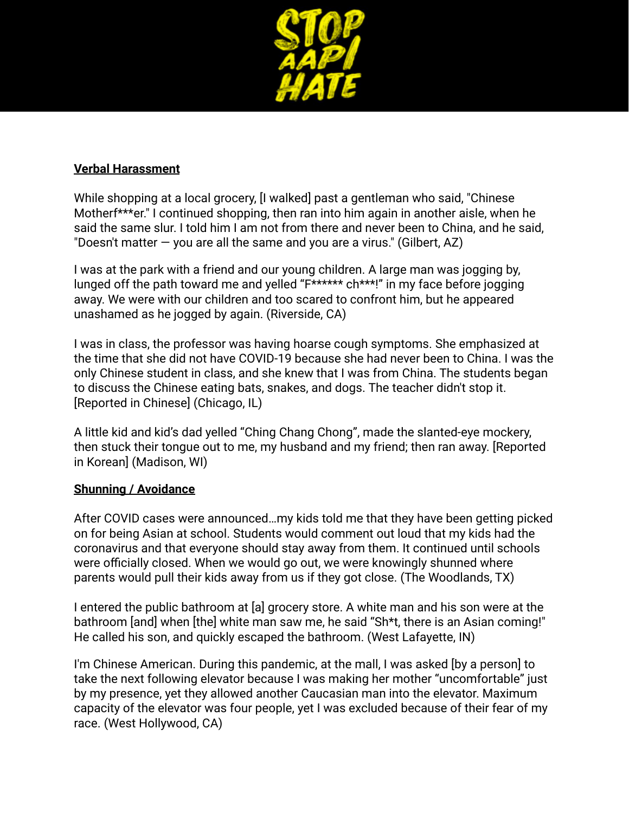

### **Verbal Harassment**

While shopping at a local grocery, [I walked] past a gentleman who said, "Chinese Motherf\*\*\*er." I continued shopping, then ran into him again in another aisle, when he said the same slur. I told him I am not from there and never been to China, and he said, "Doesn't matter  $-$  you are all the same and you are a virus." (Gilbert, AZ)

I was at the park with a friend and our young children. A large man was jogging by, lunged off the path toward me and yelled "F\*\*\*\*\*\* ch\*\*\*!" in my face before jogging away. We were with our children and too scared to confront him, but he appeared unashamed as he jogged by again. (Riverside, CA)

I was in class, the professor was having hoarse cough symptoms. She emphasized at the time that she did not have COVID-19 because she had never been to China. I was the only Chinese student in class, and she knew that I was from China. The students began to discuss the Chinese eating bats, snakes, and dogs. The teacher didn't stop it. [Reported in Chinese] (Chicago, IL)

A little kid and kid's dad yelled "Ching Chang Chong", made the slanted-eye mockery, then stuck their tongue out to me, my husband and my friend; then ran away. [Reported in Korean] (Madison, WI)

#### **Shunning / Avoidance**

After COVID cases were announced…my kids told me that they have been getting picked on for being Asian at school. Students would comment out loud that my kids had the coronavirus and that everyone should stay away from them. It continued until schools were officially closed. When we would go out, we were knowingly shunned where parents would pull their kids away from us if they got close. (The Woodlands, TX)

I entered the public bathroom at [a] grocery store. A white man and his son were at the bathroom [and] when [the] white man saw me, he said "Sh\*t, there is an Asian coming!" He called his son, and quickly escaped the bathroom. (West Lafayette, IN)

I'm Chinese American. During this pandemic, at the mall, I was asked [by a person] to take the next following elevator because I was making her mother "uncomfortable" just by my presence, yet they allowed another Caucasian man into the elevator. Maximum capacity of the elevator was four people, yet I was excluded because of their fear of my race. (West Hollywood, CA)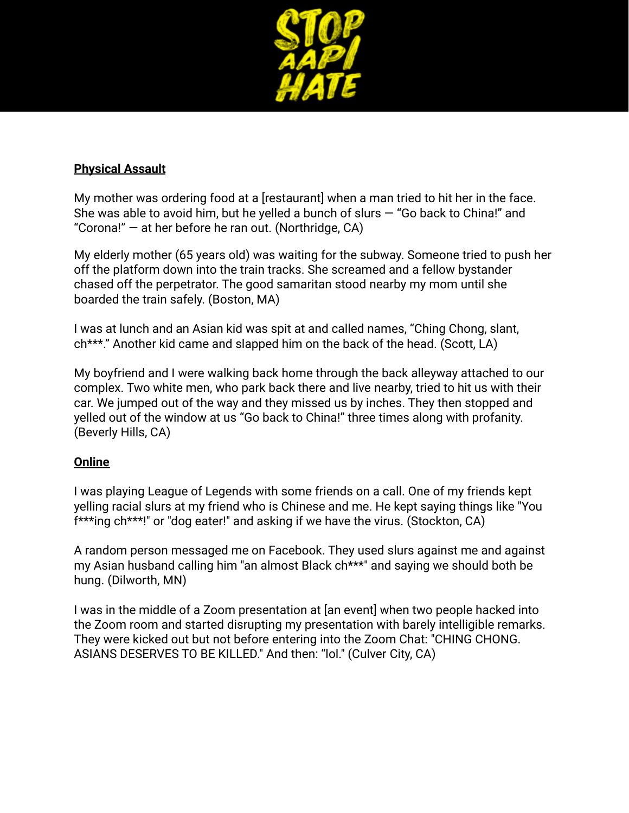

### **Physical Assault**

My mother was ordering food at a [restaurant] when a man tried to hit her in the face. She was able to avoid him, but he yelled a bunch of slurs  $-$  "Go back to China!" and "Corona!" — at her before he ran out. (Northridge, CA)

My elderly mother (65 years old) was waiting for the subway. Someone tried to push her off the platform down into the train tracks. She screamed and a fellow bystander chased off the perpetrator. The good samaritan stood nearby my mom until she boarded the train safely. (Boston, MA)

I was at lunch and an Asian kid was spit at and called names, "Ching Chong, slant, ch\*\*\*." Another kid came and slapped him on the back of the head. (Scott, LA)

My boyfriend and I were walking back home through the back alleyway attached to our complex. Two white men, who park back there and live nearby, tried to hit us with their car. We jumped out of the way and they missed us by inches. They then stopped and yelled out of the window at us "Go back to China!" three times along with profanity. (Beverly Hills, CA)

### **Online**

I was playing League of Legends with some friends on a call. One of my friends kept yelling racial slurs at my friend who is Chinese and me. He kept saying things like "You f\*\*\*ing ch\*\*\*!" or "dog eater!" and asking if we have the virus. (Stockton, CA)

A random person messaged me on Facebook. They used slurs against me and against my Asian husband calling him "an almost Black ch\*\*\*" and saying we should both be hung. (Dilworth, MN)

I was in the middle of a Zoom presentation at [an event] when two people hacked into the Zoom room and started disrupting my presentation with barely intelligible remarks. They were kicked out but not before entering into the Zoom Chat: "CHING CHONG. ASIANS DESERVES TO BE KILLED." And then: "lol." (Culver City, CA)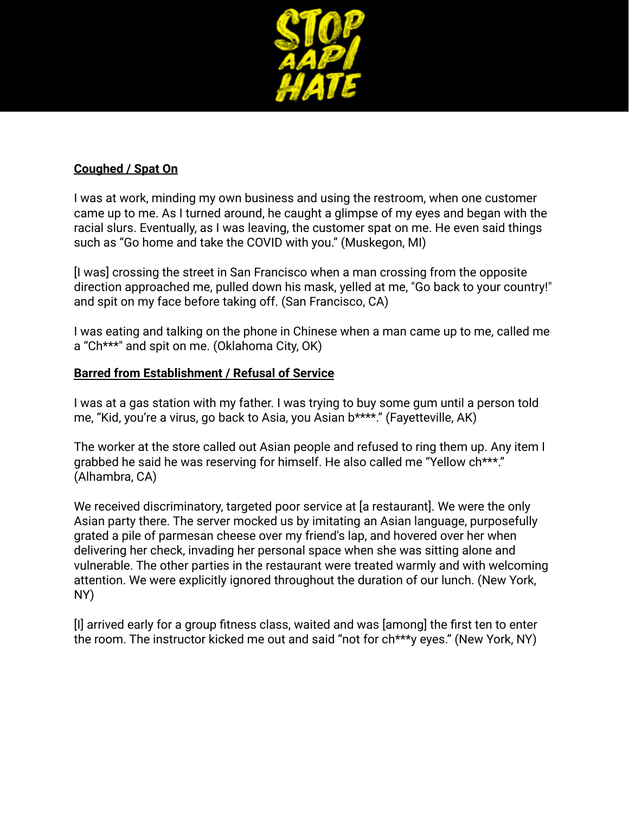

### **Coughed / Spat On**

I was at work, minding my own business and using the restroom, when one customer came up to me. As I turned around, he caught a glimpse of my eyes and began with the racial slurs. Eventually, as I was leaving, the customer spat on me. He even said things such as "Go home and take the COVID with you." (Muskegon, MI)

[I was] crossing the street in San Francisco when a man crossing from the opposite direction approached me, pulled down his mask, yelled at me, "Go back to your country!" and spit on my face before taking off. (San Francisco, CA)

I was eating and talking on the phone in Chinese when a man came up to me, called me a "Ch\*\*\*" and spit on me. (Oklahoma City, OK)

#### **Barred from Establishment / Refusal of Service**

I was at a gas station with my father. I was trying to buy some gum until a person told me, "Kid, you're a virus, go back to Asia, you Asian b\*\*\*\*." (Fayetteville, AK)

The worker at the store called out Asian people and refused to ring them up. Any item I grabbed he said he was reserving for himself. He also called me "Yellow ch\*\*\*." (Alhambra, CA)

We received discriminatory, targeted poor service at [a restaurant]. We were the only Asian party there. The server mocked us by imitating an Asian language, purposefully grated a pile of parmesan cheese over my friend's lap, and hovered over her when delivering her check, invading her personal space when she was sitting alone and vulnerable. The other parties in the restaurant were treated warmly and with welcoming attention. We were explicitly ignored throughout the duration of our lunch. (New York, NY)

[I] arrived early for a group fitness class, waited and was [among] the first ten to enter the room. The instructor kicked me out and said "not for ch\*\*\*y eyes." (New York, NY)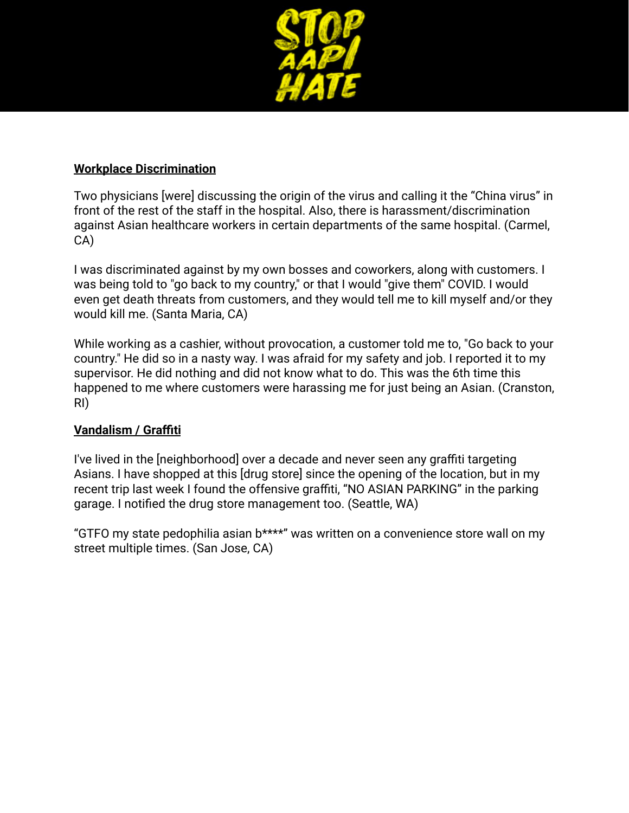

### **Workplace Discrimination**

Two physicians [were] discussing the origin of the virus and calling it the "China virus" in front of the rest of the staff in the hospital. Also, there is harassment/discrimination against Asian healthcare workers in certain departments of the same hospital. (Carmel, CA)

I was discriminated against by my own bosses and coworkers, along with customers. I was being told to "go back to my country," or that I would "give them" COVID. I would even get death threats from customers, and they would tell me to kill myself and/or they would kill me. (Santa Maria, CA)

While working as a cashier, without provocation, a customer told me to, "Go back to your country." He did so in a nasty way. I was afraid for my safety and job. I reported it to my supervisor. He did nothing and did not know what to do. This was the 6th time this happened to me where customers were harassing me for just being an Asian. (Cranston, RI)

### **Vandalism / Graffiti**

I've lived in the [neighborhood] over a decade and never seen any graffiti targeting Asians. I have shopped at this [drug store] since the opening of the location, but in my recent trip last week I found the offensive graffiti, "NO ASIAN PARKING" in the parking garage. I notified the drug store management too. (Seattle, WA)

"GTFO my state pedophilia asian b\*\*\*\*" was written on a convenience store wall on my street multiple times. (San Jose, CA)